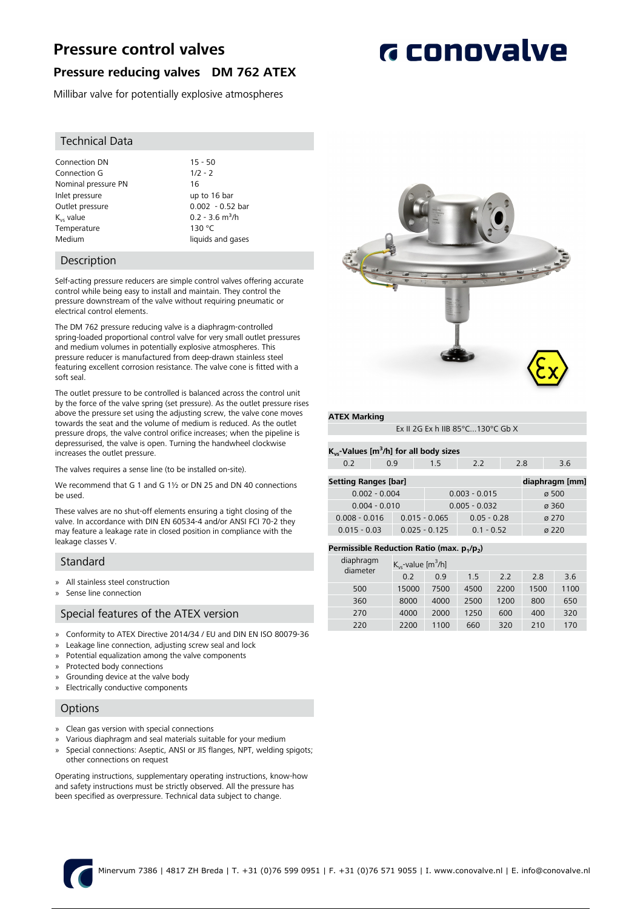# **Pressure control valves**

## **Pressure reducing valves DM 762 ATEX**

Millibar valve for potentially explosive atmospheres

### Technical Data

Connection DN 15 - 50<br>Connection G 1/2 - 2 Connection G Nominal pressure PN 16 Inlet pressure up to 16 bar Outlet pressure 0.002 - 0.52 bar  $K_{vs}$  value  $K_{vs}$  value  $0.2 - 3.6 \text{ m}^3/h$ <br>Temperature  $130 \text{ °C}$ Temperature Medium and liquids and gases

### Description

Self-acting pressure reducers are simple control valves offering accurate control while being easy to install and maintain. They control the pressure downstream of the valve without requiring pneumatic or electrical control elements.

The DM 762 pressure reducing valve is a diaphragm-controlled spring-loaded proportional control valve for very small outlet pressures and medium volumes in potentially explosive atmospheres. This pressure reducer is manufactured from deep-drawn stainless steel featuring excellent corrosion resistance. The valve cone is fitted with a soft seal.

The outlet pressure to be controlled is balanced across the control unit by the force of the valve spring (set pressure). As the outlet pressure rises above the pressure set using the adjusting screw, the valve cone moves towards the seat and the volume of medium is reduced. As the outlet pressure drops, the valve control orifice increases; when the pipeline is depressurised, the valve is open. Turning the handwheel clockwise increases the outlet pressure.

The valves requires a sense line (to be installed on-site).

We recommend that G 1 and G 1½ or DN 25 and DN 40 connections be used.

These valves are no shut-off elements ensuring a tight closing of the valve. In accordance with DIN EN 60534-4 and/or ANSI FCI 70-2 they may feature a leakage rate in closed position in compliance with the leakage classes V.

### Standard

- » All stainless steel construction
- Sense line connection

### Special features of the ATEX version

- » Conformity to ATEX Directive 2014/34 / EU and DIN EN ISO 80079-36
- » Leakage line connection, adjusting screw seal and lock
- » Potential equalization among the valve components
- » Protected body connections
- » Grounding device at the valve body
- » Electrically conductive components

### **Options**

- » Clean gas version with special connections
- » Various diaphragm and seal materials suitable for your medium
- » Special connections: Aseptic, ANSI or JIS flanges, NPT, welding spigots; other connections on request

Operating instructions, supplementary operating instructions, know-how and safety instructions must be strictly observed. All the pressure has been specified as overpressure. Technical data subject to change.



### **ATEX Marking**

| Ex II 2G Ex h IIB 85 $^{\circ}$ C130 $^{\circ}$ C Gb X |  |
|--------------------------------------------------------|--|
|                                                        |  |

| $K_{vs}$ -Values [m <sup>3</sup> /h] for all body sizes |     |  |  |  |  |  |
|---------------------------------------------------------|-----|--|--|--|--|--|
| 0.2                                                     | 0.9 |  |  |  |  |  |

| <b>Setting Ranges [bar]</b> | diaphragm [mm]  |                 |                   |
|-----------------------------|-----------------|-----------------|-------------------|
| $0.002 - 0.004$             |                 | $0.003 - 0.015$ | $\varnothing$ 500 |
| $0.004 - 0.010$             |                 | $0.005 - 0.032$ | ø 360             |
| $0.008 - 0.016$             | $0.015 - 0.065$ | $0.05 - 0.28$   | $\alpha$ 270      |
| $0.015 - 0.03$              | $0.025 - 0.125$ | $0.1 - 0.52$    | $\alpha$ 220      |

### **Permissible Reduction Ratio (max. p<sup>1</sup> /p<sup>2</sup> )**

| diaphragm | $K_{vs}$ -value [m <sup>3</sup> /h] |      |      |      |      |      |
|-----------|-------------------------------------|------|------|------|------|------|
| diameter  | 0.2                                 | 09   | 15   | 2.2  | 2.8  | 3.6  |
| 500       | 15000                               | 7500 | 4500 | 2200 | 1500 | 1100 |
| 360       | 8000                                | 4000 | 2500 | 1200 | 800  | 650  |
| 270       | 4000                                | 2000 | 1250 | 600  | 400  | 320  |
| 220       | 2200                                | 1100 | 660  | 320  | 210  | 170  |
|           |                                     |      |      |      |      |      |



# **G** conovalve